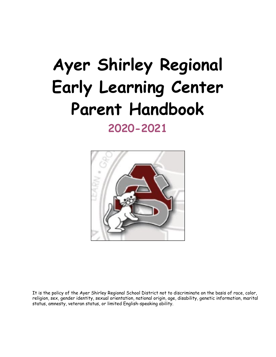# **Ayer Shirley Regional Early Learning Center Parent Handbook 2020-2021**



It is the policy of the Ayer Shirley Regional School District not to discriminate on the basis of race, color, religion, sex, gender identity, sexual orientation, national origin, age, disability, genetic information, marital status, amnesty, veteran status, or limited English-speaking ability.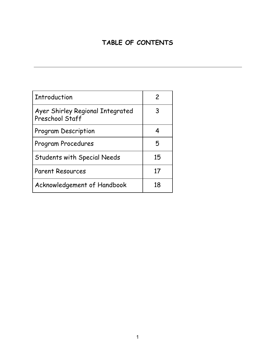# **TABLE OF CONTENTS**

| <b>Introduction</b>                                 | 2  |
|-----------------------------------------------------|----|
| Ayer Shirley Regional Integrated<br>Preschool Staff | 3  |
| <b>Program Description</b>                          | 4  |
| Program Procedures                                  | 5  |
| <b>Students with Special Needs</b>                  | 15 |
| <b>Parent Resources</b>                             | 17 |
| Acknowledgement of Handbook                         | 18 |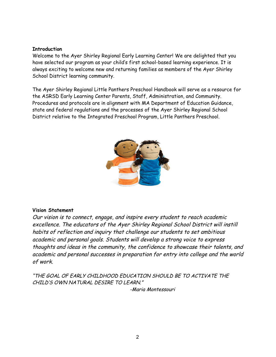#### **Introduction**

Welcome to the Ayer Shirley Regional Early Learning Center! We are delighted that you have selected our program as your child's first school-based learning experience. It is always exciting to welcome new and returning families as members of the Ayer Shirley School District learning community.

The Ayer Shirley Regional Little Panthers Preschool Handbook will serve as a resource for the ASRSD Early Learning Center Parents, Staff, Administration, and Community. Procedures and protocols are in alignment with MA Department of Education Guidance, state and federal regulations and the processes of the Ayer Shirley Regional School District relative to the Integrated Preschool Program, Little Panthers Preschool.



#### **Vision Statement**

Our vision is to connect, engage, and inspire every student to reach academic excellence. The educators of the Ayer Shirley Regional School District will instill habits of reflection and inquiry that challenge our students to set ambitious academic and personal goals. Students will develop a strong voice to express thoughts and ideas in the community, the confidence to showcase their talents, and academic and personal successes in preparation for entry into college and the world of work.

"THE GOAL OF EARLY CHILDHOOD EDUCATION SHOULD BE TO ACTIVATE THE CHILD'S OWN NATURAL DESIRE TO LEARN."

-Maria Montessouri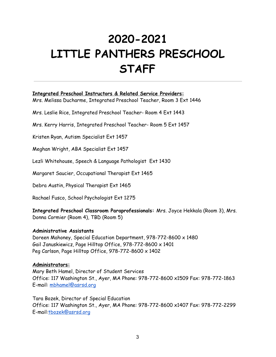# **2020-2021 LITTLE PANTHERS PRESCHOOL STAFF**

#### **Integrated Preschool Instructors & Related Service Providers:**

Mrs. Melissa Ducharme, Integrated Preschool Teacher, Room 3 Ext 1446

Mrs. Leslie Rice, Integrated Preschool Teacher- Room 4 Ext 1443

Mrs. Kerry Harris, Integrated Preschool Teacher- Room 5 Ext 1457

Kristen Ryan, Autism Specialist Ext 1457

Meghan Wright, ABA Specialist Ext 1457

Lezli Whitehouse, Speech & Language Pathologist Ext 1430

Margaret Saucier, Occupational Therapist Ext 1465

Debra Austin, Physical Therapist Ext 1465

Rachael Fusco, School Psychologist Ext 1275

**Integrated Preschool Classroom Paraprofessionals:** Mrs. Joyce Hekkala (Room 3), Mrs. Donna Cormier (Room 4), TBD (Room 5)

#### **Administrative Assistants**

Doreen Mahoney, Special Education Department, 978-772-8600 x 1480 Gail Januskiewicz, Page Hilltop Office, 978-772-8600 x 1401 Peg Carlson, Page Hilltop Office, 978-772-8600 x 1402

#### **Administrators:**

Mary Beth Hamel, Director of Student Services Office: 117 Washington St., Ayer, MA Phone: 978-772-8600 x1509 Fax: 978-772-1863 E-mail: [mbhamel@asrsd.org](mailto:mbhamel@asrsd.org)

Tara Bozek, Director of Special Education Office: 117 Washington St., Ayer, MA Phone: 978-772-8600 x1407 Fax: 978-772-2299 E-mail:[tbozek@asrsd.org](mailto:tbozek@asrsd.org)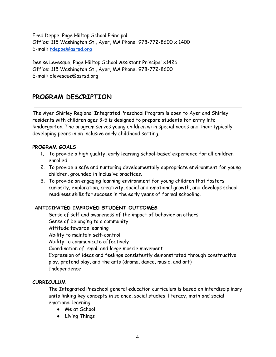Fred Deppe, Page Hilltop School Principal Office: 115 Washington St., Ayer, MA Phone: 978-772-8600 x 1400 E-mail: [fdeppe@asrsd.org](mailto:fdeppe@asrsd.org)

Denise Levesque, Page Hilltop School Assistant Principal x1426 Office: 115 Washington St., Ayer, MA Phone: 978-772-8600 E-mail: dlevesque@asrsd.org

# **PROGRAM DESCRIPTION**

The Ayer Shirley Regional Integrated Preschool Program is open to Ayer and Shirley residents with children ages 3-5 is designed to prepare students for entry into kindergarten. The program serves young children with special needs and their typically developing peers in an inclusive early childhood setting.

#### **PROGRAM GOALS**

- 1. To provide a high quality, early learning school-based experience for all children enrolled.
- 2. To provide a safe and nurturing developmentally appropriate environment for young children, grounded in inclusive practices.
- 3. To provide an engaging learning environment for young children that fosters curiosity, exploration, creativity, social and emotional growth, and develops school readiness skills for success in the early years of formal schooling.

#### **ANTICIPATED IMPROVED STUDENT OUTCOMES**

Sense of self and awareness of the impact of behavior on others Sense of belonging to a community Attitude towards learning Ability to maintain self-control Ability to communicate effectively Coordination of small and large muscle movement Expression of ideas and feelings consistently demonstrated through constructive play, pretend play, and the arts (drama, dance, music, and art) Independence

#### **CURRICULUM**

The Integrated Preschool general education curriculum is based on interdisciplinary units linking key concepts in science, social studies, literacy, math and social emotional learning:

- Me at School
- Living Things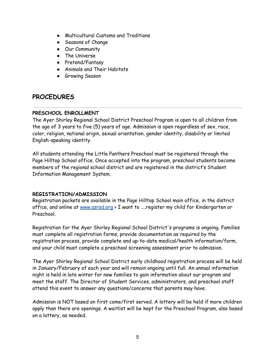- Multicultural Customs and Traditions
- Seasons of Change
- Our Community
- The Universe
- Pretend/Fantasy
- Animals and Their Habitats
- **•** Growing Season

### **PROCEDURES**

#### **PRESCHOOL ENROLLMENT**

The Ayer Shirley Regional School District Preschool Program is open to all children from the age of 3 years to five (5) years of age. Admission is open regardless of sex, race, color, religion, national origin, sexual orientation, gender identity, disability or limited English-speaking identity.

All students attending the Little Panthers Preschool must be registered through the Page Hilltop School office. Once accepted into the program, preschool students become members of the regional school district and are registered in the district's Student Information Management System.

#### **REGISTRATION/ADMISSION**

Registration packets are available in the Page Hilltop School main office, in the district office, and online at [www.asrsd.org](http://www.asrsd.org/) > I want to .... register my child for Kindergarten or Preschool.

Registration for the Ayer Shirley Regional School District's programs is ongoing. Families must complete all registration forms, provide documentation as required by the registration process, provide complete and up-to-date medical/health information/form, and your child must complete a preschool screening assessment prior to admission.

The Ayer Shirley Regional School District early childhood registration process will be held in January/February of each year and will remain ongoing until full. An annual information night is held in late winter for new families to gain information about our program and meet the staff. The Director of Student Services, administrators, and preschool staff attend this event to answer any questions/concerns that parents may have.

Admission is NOT based on first come/first served. A lottery will be held if more children apply than there are openings. A waitlist will be kept for the Preschool Program, also based on a lottery, as needed.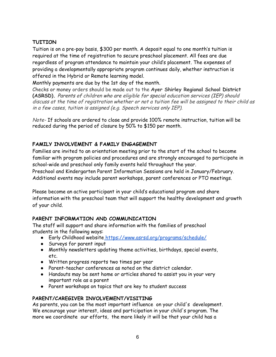#### **TUITION**

Tuition is on a pre-pay basis, \$300 per month. A deposit equal to one month's tuition is required at the time of registration to secure preschool placement. All fees are due regardless of program attendance to maintain your child's placement. The expenses of providing a developmentally appropriate program continues daily, whether instruction is offered in the Hybrid or Remote learning model.

Monthly payments are due by the 1st day of the month.

Checks or money orders should be made out to the **Ayer Shirley Regional School District (ASRSD).** Parents of children who are eligible for special education services (IEP) should discuss at the time of registration whether or not <sup>a</sup> tuition fee will be assigned to their child as in <sup>a</sup> few cases, tuition is assigned (e.g. Speech services only IEP).

Note- If schools are ordered to close and provide 100% remote instruction, tuition will be reduced during the period of closure by 50% to \$150 per month.

#### **FAMILY INVOLVEMENT & FAMILY ENGAGEMENT**

Families are invited to an orientation meeting prior to the start of the school to become familiar with program policies and procedures and are strongly encouraged to participate in school-wide and preschool only family events held throughout the year.

Preschool and Kindergarten Parent Information Sessions are held in January/February. Additional events may include parent workshops, parent conferences or PTO meetings.

Please become an active participant in your child's educational program and share information with the preschool team that will support the healthy development and growth of your child.

#### **PARENT INFORMATION AND COMMUNICATION**

The staff will support and share information with the families of preschool students in the following ways:

- Early Childhood website <https://www.asrsd.org/programs/schedule/>
- Surveys for parent input
- Monthly newsletters updating theme activities, birthdays, special events, etc.
- Written progress reports two times per year
- Parent-teacher conferences as noted on the district calendar.
- Handouts may be sent home or articles shared to assist you in your very important role as a parent
- Parent workshops on topics that are key to student success

#### **PARENT/CAREGIVER INVOLVEMENT/VISITING**

As parents, you can be the most important influence on your child's development. We encourage your interest, ideas and participation in your child's program. The more we coordinate our efforts, the more likely it will be that your child has a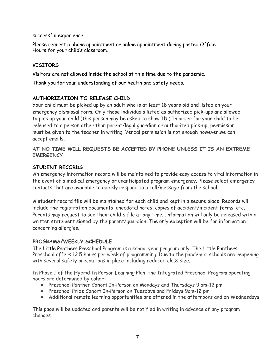successful experience.

Please request a phone appointment or online appointment during posted Office Hours for your child's classroom.

#### **VISITORS**

Visitors are not allowed inside the school at this time due to the pandemic.

Thank you for your understanding of our health and safety needs.

#### **AUTHORIZATION TO RELEASE CHILD**

Your child must be picked up by an adult who is at least 18 years old and listed on your emergency dismissal form. Only those individuals listed as authorized pick-ups are allowed to pick up your child (this person may be asked to show ID.) In order for your child to be released to a person other than parent/legal guardian or authorized pick-up, permission must be given to the teacher in writing. Verbal permission is not enough however,we can accept emails.

**AT NO TIME WILL REQUESTS BE ACCEPTED BY PHONE UNLESS IT IS AN EXTREME EMERGENCY.**

#### **STUDENT RECORDS**

An emergency information record will be maintained to provide easy access to vital information in the event of a medical emergency or unanticipated program emergency. Please select emergency contacts that are available to quickly respond to a call/message from the school.

A student record file will be maintained for each child and kept in a secure place. Records will include the registration documents, anecdotal notes, copies of accident/incident forms, etc. Parents may request to see their child's file at any time. Information will only be released with a written statement signed by the parent/guardian. The only exception will be for information concerning allergies.

#### **PROGRAMS/WEEKLY SCHEDULE**

The Little Panthers Preschool Program is a school year program only. The Little Panthers Preschool offers 12.5 hours per week of programming. Due to the pandemic, schools are reopening with several safety precautions in place including reduced class size.

In Phase I of the Hybrid In Person Learning Plan, the Integrated Preschool Program operating hours are determined by cohort:

- Preschool Panther Cohort In-Person on Mondays and Thursdays 9 am-12 pm
- Preschool Pride Cohort In-Person on Tuesdays and Fridays 9am-12 pm
- Additional remote learning opportunities are offered in the afternoons and on Wednesdays

This page will be updated and parents will be notified in writing in advance of any program changes.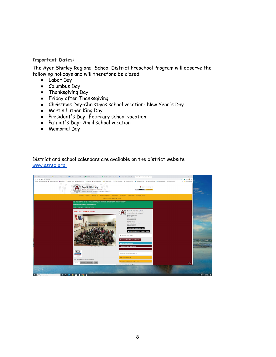**Important Dates:**

The Ayer Shirley Regional School District Preschool Program will observe the following holidays and will therefore be closed:

- Labor Day
- Columbus Day
- Thanksgiving Day
- Friday after Thanksgiving
- Christmas Day-Christmas school vacation- New Year's Day
- Martin Luther King Day
- President's Day- February school vacation
- Patriot's Day- April school vacation
- Memorial Day

District and school calendars are available on the district website [www.asrsd.org.](http://www.asrsd.org./)

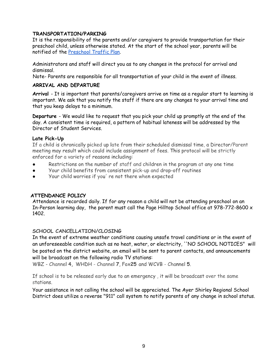#### **TRANSPORTATION/PARKING**

It is the responsibility of the parents and/or caregivers to provide transportation for their preschool child, unless otherwise stated. At the start of the school year, parents will be notified of the [Preschool](https://docs.google.com/document/d/1xfa5CiOpJobuSkcY12IgU5QgfJ5Xd710QaGi8828-1Q/edit?usp=sharing) Traffic Plan.

Administrators and staff will direct you as to any changes in the protocol for arrival and dismissal.

Note- Parents are responsible for all transportation of your child in the event of illness.

#### **ARRIVAL AND DEPARTURE**

**Arrival** - It is important that parents/caregivers arrive on time as a regular start to learning is important. We ask that you notify the staff if there are any changes to your arrival time and that you keep delays to a minimum.

**Departure** - We would like to request that you pick your child up promptly at the end of the day. A consistent time is required, a pattern of habitual lateness will be addressed by the Director of Student Services.

#### **Late Pick-Up**

If a child is chronically picked up late from their scheduled dismissal time, a Director/Parent meeting may result which could include assignment of fees. This protocol will be strictly enforced for a variety of reasons including:

- Restrictions on the number of staff and children in the program at any one time
- Your child benefits from consistent pick-up and drop-off routines
- Your child worries if you' re not there when expected

#### **ATTENDANCE POLICY**

Attendance is recorded daily. If for any reason a child will not be attending preschool on an In-Person learning day, the parent must call the Page Hilltop School office at 978-772-8600 x 1402.

#### **SCHOOL CANCELLATION/CLOSING**

In the event of extreme weather conditions causing unsafe travel conditions or in the event of an unforeseeable condition such as no heat, water, or electricity, ''NO SCHOOL NOTICES" will be posted on the district website, an email will be sent to parent contacts, and announcements will be broadcast on the following radio TV stations:

WBZ - Channel **4,** WHDH - Channel **7**, Fox**25** and WCVB - Channel **5**.

If school is to be released early due to an emergency , it will be broadcast over the same stations.

Your assistance in not calling the school will be appreciated. The Ayer Shirley Regional School District does utilize a reverse "911" call system to notify parents of any change in school status.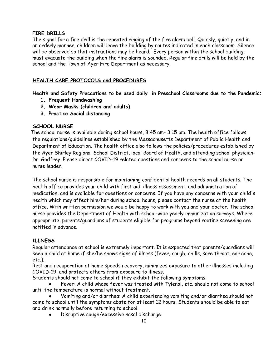#### **FIRE DRILLS**

The signal for a fire drill is the repeated ringing of the fire alarm bell. Quickly, quietly, and in an orderly manner, children will leave the building by routes indicated in each classroom. Silence will be observed so that instructions may be heard. Every person within the school building, must evacuate the building when the fire alarm is sounded. Regular fire drills will be held by the school and the Town of Ayer Fire Department as necessary.

#### **HEALTH CARE PROTOCOLS and PROCEDURES**

**Health and Safety Precautions to be used daily in Preschool Classrooms due to the Pandemic:**

- **1. Frequent Handwashing**
- **2. Wear Masks (children and adults)**
- **3. Practice Social distancing**

#### **SCHOOL NURSE**

The school nurse is available during school hours, 8:45 am- 3:15 pm. The health office follows the regulations/guidelines established by the Massachusetts Department of Public Health and Department of Education. The health office also follows the policies/procedures established by the Ayer Shirley Regional School District, local Board of Health, and attending school physician-Dr. Godfrey. Please direct COVID-19 related questions and concerns to the school nurse or nurse leader.

The school nurse is responsible for maintaining confidential health records on all students. The health office provides your child with first aid, illness assessment, and administration of medication, and is available for questions or concerns. If you have any concerns with your child's health which may affect him/her during school hours, please contact the nurse at the health office. With written permission we would be happy to work with you and your doctor. The school nurse provides the Department of Health with school-wide yearly immunization surveys. Where appropriate, parents/guardians of students eligible for programs beyond routine screening are notified in advance.

#### **ILLNESS**

Regular attendance at school is extremely important. It is expected that parents/guardians will keep a child at home if she/he shows signs of illness (fever, cough, chills, sore throat, ear ache, etc.).

Rest and recuperation at home speeds recovery, minimizes exposure to other illnesses including COVID-19, and protects others from exposure to illness.

Students should not come to school if they exhibit the following symptoms:

Fever: A child whose fever was treated with Tylenol, etc. should not come to school until the temperature is normal without treatment.

Vomiting and/or diarrhea: A child experiencing vomiting and/or diarrhea should not come to school until the symptoms abate for at least 12 hours. Students should be able to eat and drink normally before returning to school.

Disruptive cough/excessive nasal discharge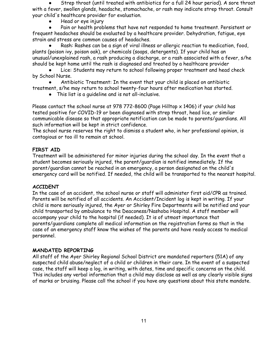Strep throat (until treated with antibiotics for a full 24 hour period). A sore throat with a fever, swollen glands, headache, stomachache, or rash may indicate strep throat. Consult your child's healthcare provider for evaluation.

Head or eye injury

Pain or health problems that have not responded to home treatment. Persistent or frequent headaches should be evaluated by a healthcare provider. Dehydration, fatigue, eye strain and stress are common causes of headaches.

Rash: Rashes can be a sign of viral illness or allergic reaction to medication, food, plants (poison ivy, poison oak), or chemicals (soaps, detergents). If your child has an unusual/unexplained rash, a rash producing a discharge, or a rash associated with a fever, s/he should be kept home until the rash is diagnosed and treated by a healthcare provider

Lice: Students may return to school following proper treatment and head check by School Nurse.

Antibiotic Treatment: In the event that your child is placed on antibiotic

treatment, s/he may return to school twenty-four hours after medication has started.

● This list is a guideline and is not all-inclusive.

Please contact the school nurse at 978 772-8600 (Page Hilltop  $\times$  1406) if your child has tested positive for COVID-19 or been diagnosed with strep throat, head lice, or similar communicable disease so that appropriate notification can be made to parents/guardians. All such information will be kept in strict confidence.

The school nurse reserves the right to dismiss a student who, in her professional opinion, is contagious or too ill to remain at school.

#### **FIRST AID**

Treatment will be administered for minor injuries during the school day. In the event that a student becomes seriously injured, the parent/guardian is notified immediately. If the parent/guardian cannot be reached in an emergency, a person designated on the child's emergency card will be notified. If needed, the child will be transported to the nearest hospital.

#### **ACCIDENT**

In the case of an accident, the school nurse or staff will administer first aid/CPR as trained. Parents will be notified of all accidents. An Accident/Incident log is kept in writing. If your child is more seriously injured, the Ayer or Shirley Fire Departments will be notified and your child transported by ambulance to the Deaconess/Nashoba Hospital. A staff member will accompany your child to the hospital (if needed). It is of utmost importance that parents/guardians complete all medical information on the registration forms so that in the case of an emergency staff know the wishes of the parents and have ready access to medical personnel.

#### **MANDATED REPORTING**

All staff of the Ayer Shirley Regional School District are mandated reporters (51A) of any suspected child abuse/neglect of a child or children in their care. In the event of a suspected case, the staff will keep a log, in writing, with dates, time and specific concerns on the child. This includes any verbal information that a child may disclose as well as any clearly visible signs of marks or bruising. Please call the school if you have any questions about this state mandate.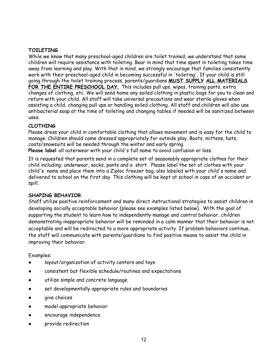#### **TOILETING**

While we know that many preschool-aged children are toilet trained, we understand that some children will require assistance with toileting. Bear in mind that time spent in toileting takes time away from learning and play. With that in mind, we strongly encourage that families consistently work with their preschool-aged child in becoming successful in 'toileting'. If your child is still going through the toilet training process, parents/guardians **MUST SUPPLY ALL MATERIALS FOR THE ENTIRE PRESCHOOL DAY.** This includes pull ups, wipes, training pants, extra changes of clothing, etc. We will send home any soiled clothing in plastic bags for you to clean and return with your child. All staff will take universal precautions and wear sterile gloves when assisting a child, changing pull ups or handling soiled clothing. All staff and children will also use antibacterial soap at the time of toileting and changing tables if needed will be sanitized between uses.

#### **CLOTHING**

Please dress your child in comfortable clothing that allows movement and is easy for the child to manage. Children should come dressed appropriately for outside play. Boots, mittens, hats, coats/snowsuits will be needed through the winter and early spring.

**Please label** all outerwear with your child's full name to avoid confusion or loss.

It is requested that parents send in a complete set of seasonably appropriate clothes for their child including: underwear, socks, pants and a shirt. Please label the set of clothes with your child's name and place them into a Ziploc freezer bag, also labeled with your child's name and delivered to school on the first day. This clothing will be kept at school in case of an accident or spill.

#### **SHAPING BEHAVIOR**

Staff utilize positive reinforcement and many direct instructional strategies to assist children in developing socially acceptable behavior (please see examples listed below). With the goal of supporting the student to learn how to independently manage and control behavior, children demonstrating inappropriate behavior will be reminded in a calm manner that their behavior is not acceptable and will be redirected to a more appropriate activity. If problem behaviors continue, the staff will communicate with parents/guardians to find positive means to assist the child in improving their behavior.

#### Examples:

- layout/organization of activity centers and toys
- consistent but flexible schedule/routines and expectations
- utilize simple and concrete language
- set developmentally appropriate rules and boundaries
- give choices
- model appropriate behavior
- encourage independence
- provide redirection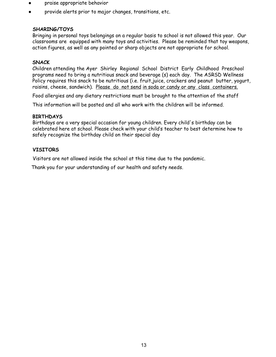- praise appropriate behavior
- provide alerts prior to major changes, transitions, etc.

#### **SHARING/TOYS**

Bringing in personal toys belongings on a regular basis to school is not allowed this year. Our classrooms are equipped with many toys and activities. Please be reminded that toy weapons, action figures, as well as any pointed or sharp objects are not appropriate for school.

#### **SNACK**

Children attending the Ayer Shirley Regional School District Early Childhood Preschool programs need to bring a nutritious snack and beverage (s) each day. The ASRSD Wellness Policy requires this snack to be nutritious (i.e. fruit, juice, crackers and peanut butter, yogurt, raisins, cheese, sandwich). Please do not send in soda or candy or any class containers.

Food allergies and any dietary restrictions must be brought to the attention of the staff

This information will be posted and all who work with the children will be informed.

#### **BIRTHDAYS**

Birthdays are a very special occasion for young children. Every child's birthday can be celebrated here at school. Please check with your child's teacher to best determine how to safely recognize the birthday child on their special day

#### **VISITORS**

Visitors are not allowed inside the school at this time due to the pandemic.

Thank you for your understanding of our health and safety needs.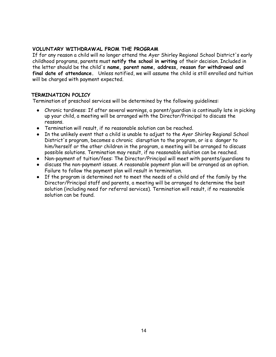#### **VOLUNTARY WITHDRAWAL FROM THE PROGRAM**

If for any reason a child will no longer attend the Ayer Shirley Regional School District's early childhood programs, parents must **notify the school in writing** of their decision. Included in the letter should be the child's **name, parent name, address, reason for withdrawal and final date of attendance.** Unless notified, we will assume the child is still enrolled and tuition will be charged with payment expected.

#### **TERMINATION POLICY**

Termination of preschool services will be determined by the following guidelines:

- Chronic tardiness: If after several warnings, a parent/guardian is continually late in picking up your child, a meeting will be arranged with the Director/Principal to discuss the reasons.
- Termination will result, if no reasonable solution can be reached.
- In the unlikely event that a child is unable to adjust to the Ayer Shirley Regional School District's program, becomes a chronic disruption to the program, or is a danger to him/herself or the other children in the program, a meeting will be arranged to discuss possible solutions. Termination may result, if no reasonable solution can be reached.
- Non-payment of tuition/fees: The Director/Principal will meet with parents/guardians to
- discuss the non-payment issues. A reasonable payment plan will be arranged as an option. Failure to follow the payment plan will result in termination.
- If the program is determined not to meet the needs of a child and of the family by the Director/Principal staff and parents, a meeting will be arranged to determine the best solution (including need for referral services). Termination will result, if no reasonable solution can be found.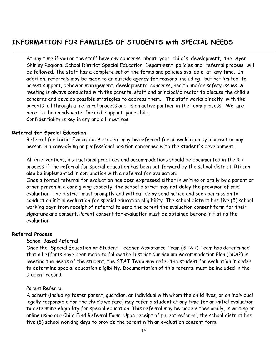# **INFORMATION FOR FAMILIES OF STUDENTS with SPECIAL NEEDS**

At any time if you or the staff have any concerns about your child's development, the Ayer Shirley Regional School District Special Education Department policies and referral process will be followed. The staff has a complete set of the forms and policies available at any time. In addition, referrals may be made to an outside agency for reasons including, but not limited to: parent support, behavior management, developmental concerns, health and/or safety issues. A meeting is always conducted with the parents, staff and principal/director to discuss the child's concerns and develop possible strategies to address them. The staff works directly with the parents all through a referral process and is an active partner in the team process. We are here to be an advocate for and support your child. Confidentiality is key in any and all meetings.

#### **Referral for Special Education**

Referral for Initial Evaluation A student may be referred for an evaluation by a parent or any person in a care-giving or professional position concerned with the student's development.

All interventions, instructional practices and accommodations should be documented in the Rti process if the referral for special education has been put forward by the school district. Rti can also be implemented in conjunction with a referral for evaluation.

Once a formal referral for evaluation has been expressed either in writing or orally by a parent or other person in a care giving capacity, the school district may not delay the provision of said evaluation. The district must promptly and without delay send notice and seek permission to conduct an initial evaluation for special education eligibility. The school district has five (5) school working days from receipt of referral to send the parent the evaluation consent form for their signature and consent. Parent consent for evaluation must be obtained before initiating the evaluation.

#### **Referral Process**

#### School Based Referral

Once the Special Education or Student-Teacher Assistance Team (STAT) Team has determined that all efforts have been made to follow the District Curriculum Accommodation Plan (DCAP) in meeting the needs of the student, the STAT Team may refer the student for evaluation in order to determine special education eligibility. Documentation of this referral must be included in the student record.

#### Parent Referral

A parent (including foster parent, guardian, an individual with whom the child lives, or an individual legally responsible for the child's welfare) may refer a student at any time for an initial evaluation to determine eligibility for special education. This referral may be made either orally, in writing or online using our Child Find Referral Form. Upon receipt of parent referral, the school district has five (5) school working days to provide the parent with an evaluation consent form.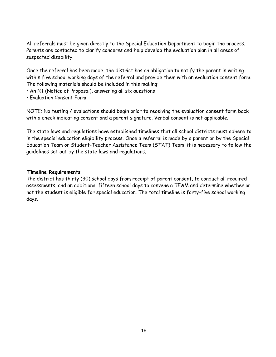All referrals must be given directly to the Special Education Department to begin the process. Parents are contacted to clarify concerns and help develop the evaluation plan in all areas of suspected disability.

Once the referral has been made, the district has an obligation to notify the parent in writing within five school working days of the referral and provide them with an evaluation consent form. The following materials should be included in this mailing:

- An N1 (Notice of Proposal), answering all six questions
- Evaluation Consent Form

NOTE: No testing / evaluations should begin prior to receiving the evaluation consent form back with a check indicating consent and a parent signature. Verbal consent is not applicable.

The state laws and regulations have established timelines that all school districts must adhere to in the special education eligibility process. Once a referral is made by a parent or by the Special Education Team or Student-Teacher Assistance Team (STAT) Team, it is necessary to follow the guidelines set out by the state laws and regulations.

#### **Timeline Requirements**

The district has thirty (30) school days from receipt of parent consent, to conduct all required assessments, and an additional fifteen school days to convene a TEAM and determine whether or not the student is eligible for special education. The total timeline is forty-five school working days.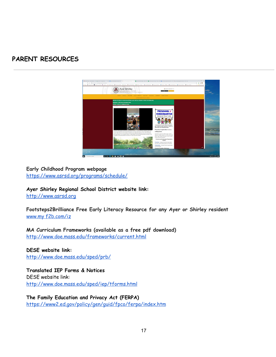# **PARENT RESOURCES**



#### **Early Childhood Program webpage**

<https://www.asrsd.org/programs/schedule/>

**Ayer Shirley Regional School District website link:**

[http://www.asrsd.org](http://www.asrsd.org/)

**Footsteps2Brilliance Free Early Literacy Resource for any Ayer or Shirley resident** www.my [f2b.com/iz](http://www.myf2b.com/iz)

**MA Curriculum Frameworks (available as a free pdf download)** <http://www.doe.mass.edu/frameworks/current.html>

**DESE website link:** <http://www.doe.mass.edu/sped/prb/>

**Translated IEP Forms & Notices** DESE website link: <http://www.doe.mass.edu/sped/iep/tforms.html>

**The Family Education and Privacy Act (FERPA)** [https://www2.ed.gov/policy/gen/guid/fpco/ferpa/index.htm](https://www2.ed.gov/policy/gen/guid/fpco/ferpa/index.html)